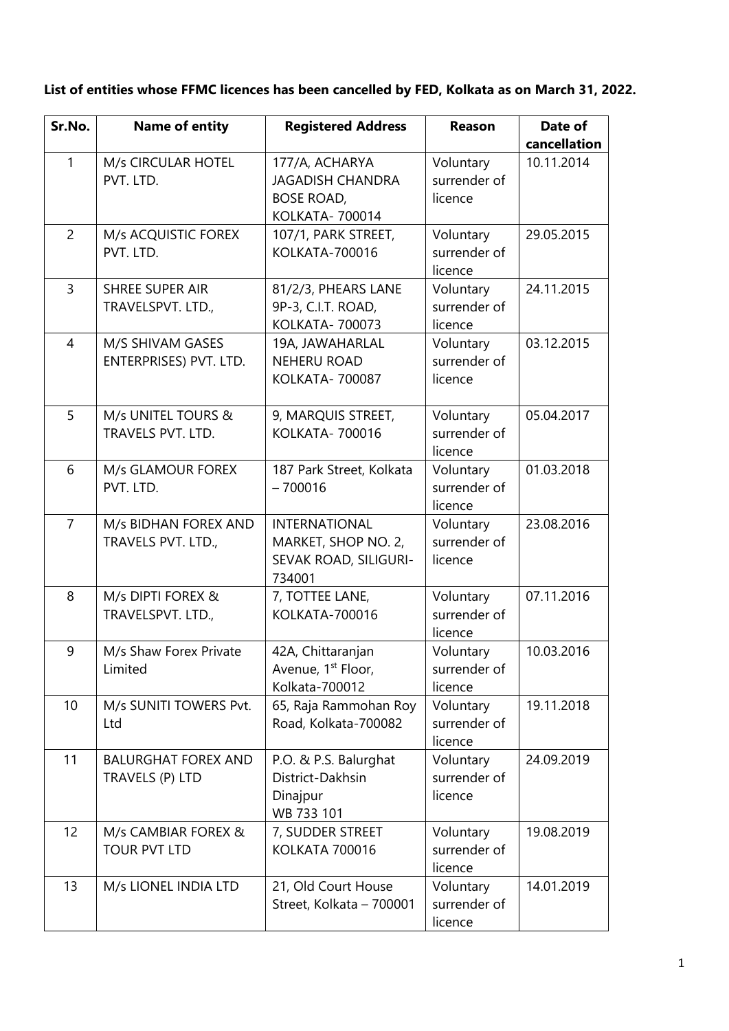| Sr.No.         | <b>Name of entity</b>                         | <b>Registered Address</b>                                                         | Reason                               | Date of      |
|----------------|-----------------------------------------------|-----------------------------------------------------------------------------------|--------------------------------------|--------------|
|                |                                               |                                                                                   |                                      | cancellation |
| $\mathbf{1}$   | M/s CIRCULAR HOTEL<br>PVT. LTD.               | 177/A, ACHARYA<br><b>JAGADISH CHANDRA</b><br><b>BOSE ROAD,</b><br>KOLKATA- 700014 | Voluntary<br>surrender of<br>licence | 10.11.2014   |
| $\overline{2}$ | M/s ACQUISTIC FOREX<br>PVT. LTD.              | 107/1, PARK STREET,<br><b>KOLKATA-700016</b>                                      | Voluntary<br>surrender of<br>licence | 29.05.2015   |
| $\overline{3}$ | <b>SHREE SUPER AIR</b><br>TRAVELSPVT. LTD.,   | 81/2/3, PHEARS LANE<br>9P-3, C.I.T. ROAD,<br>KOLKATA- 700073                      | Voluntary<br>surrender of<br>licence | 24.11.2015   |
| $\overline{4}$ | M/S SHIVAM GASES<br>ENTERPRISES) PVT. LTD.    | 19A, JAWAHARLAL<br><b>NEHERU ROAD</b><br>KOLKATA- 700087                          | Voluntary<br>surrender of<br>licence | 03.12.2015   |
| 5              | M/s UNITEL TOURS &<br>TRAVELS PVT. LTD.       | 9, MARQUIS STREET,<br>KOLKATA- 700016                                             | Voluntary<br>surrender of<br>licence | 05.04.2017   |
| 6              | M/s GLAMOUR FOREX<br>PVT. LTD.                | 187 Park Street, Kolkata<br>$-700016$                                             | Voluntary<br>surrender of<br>licence | 01.03.2018   |
| $\overline{7}$ | M/s BIDHAN FOREX AND<br>TRAVELS PVT. LTD.,    | <b>INTERNATIONAL</b><br>MARKET, SHOP NO. 2,<br>SEVAK ROAD, SILIGURI-<br>734001    | Voluntary<br>surrender of<br>licence | 23.08.2016   |
| 8              | M/s DIPTI FOREX &<br>TRAVELSPVT. LTD.,        | 7, TOTTEE LANE,<br>KOLKATA-700016                                                 | Voluntary<br>surrender of<br>licence | 07.11.2016   |
| 9              | M/s Shaw Forex Private<br>Limited             | 42A, Chittaranjan<br>Avenue, 1 <sup>st</sup> Floor,<br>Kolkata-700012             | Voluntary<br>surrender of<br>licence | 10.03.2016   |
| 10             | M/s SUNITI TOWERS Pvt.<br>Ltd                 | 65, Raja Rammohan Roy<br>Road, Kolkata-700082                                     | Voluntary<br>surrender of<br>licence | 19.11.2018   |
| 11             | <b>BALURGHAT FOREX AND</b><br>TRAVELS (P) LTD | P.O. & P.S. Balurghat<br>District-Dakhsin<br>Dinajpur<br>WB 733 101               | Voluntary<br>surrender of<br>licence | 24.09.2019   |
| 12             | M/s CAMBIAR FOREX &<br><b>TOUR PVT LTD</b>    | 7, SUDDER STREET<br>KOLKATA 700016                                                | Voluntary<br>surrender of<br>licence | 19.08.2019   |
| 13             | M/s LIONEL INDIA LTD                          | 21, Old Court House<br>Street, Kolkata - 700001                                   | Voluntary<br>surrender of<br>licence | 14.01.2019   |

**List of entities whose FFMC licences has been cancelled by FED, Kolkata as on March 31, 2022.**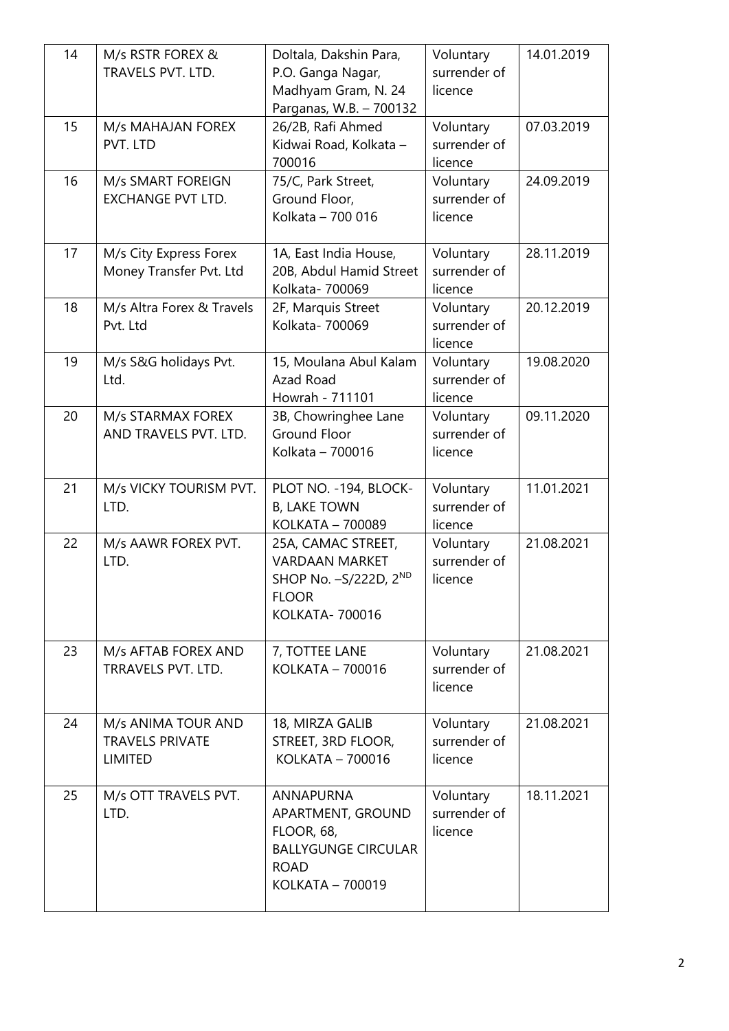| 14 | M/s RSTR FOREX &<br>TRAVELS PVT. LTD.                          | Doltala, Dakshin Para,<br>P.O. Ganga Nagar,<br>Madhyam Gram, N. 24<br>Parganas, W.B. - 700132                               | Voluntary<br>surrender of<br>licence | 14.01.2019 |
|----|----------------------------------------------------------------|-----------------------------------------------------------------------------------------------------------------------------|--------------------------------------|------------|
| 15 | M/s MAHAJAN FOREX<br>PVT. LTD                                  | 26/2B, Rafi Ahmed<br>Kidwai Road, Kolkata -<br>700016                                                                       | Voluntary<br>surrender of<br>licence | 07.03.2019 |
| 16 | M/s SMART FOREIGN<br><b>EXCHANGE PVT LTD.</b>                  | 75/C, Park Street,<br>Ground Floor,<br>Kolkata - 700 016                                                                    | Voluntary<br>surrender of<br>licence | 24.09.2019 |
| 17 | M/s City Express Forex<br>Money Transfer Pvt. Ltd              | 1A, East India House,<br>20B, Abdul Hamid Street<br>Kolkata- 700069                                                         | Voluntary<br>surrender of<br>licence | 28.11.2019 |
| 18 | M/s Altra Forex & Travels<br>Pvt. Ltd                          | 2F, Marquis Street<br>Kolkata- 700069                                                                                       | Voluntary<br>surrender of<br>licence | 20.12.2019 |
| 19 | M/s S&G holidays Pvt.<br>Ltd.                                  | 15, Moulana Abul Kalam<br>Azad Road<br>Howrah - 711101                                                                      | Voluntary<br>surrender of<br>licence | 19.08.2020 |
| 20 | M/s STARMAX FOREX<br>AND TRAVELS PVT. LTD.                     | 3B, Chowringhee Lane<br><b>Ground Floor</b><br>Kolkata - 700016                                                             | Voluntary<br>surrender of<br>licence | 09.11.2020 |
| 21 | M/s VICKY TOURISM PVT.<br>LTD.                                 | PLOT NO. - 194, BLOCK-<br><b>B, LAKE TOWN</b><br>KOLKATA - 700089                                                           | Voluntary<br>surrender of<br>licence | 11.01.2021 |
| 22 | M/s AAWR FOREX PVT.<br>LTD.                                    | 25A, CAMAC STREET,<br><b>VARDAAN MARKET</b><br>SHOP No. - S/222D, 2ND<br><b>FLOOR</b><br>KOLKATA- 700016                    | Voluntary<br>surrender of<br>licence | 21.08.2021 |
| 23 | M/s AFTAB FOREX AND<br>TRRAVELS PVT, LTD.                      | 7, TOTTEE LANE<br>KOLKATA - 700016                                                                                          | Voluntary<br>surrender of<br>licence | 21.08.2021 |
| 24 | M/s ANIMA TOUR AND<br><b>TRAVELS PRIVATE</b><br><b>LIMITED</b> | 18, MIRZA GALIB<br>STREET, 3RD FLOOR,<br>KOLKATA - 700016                                                                   | Voluntary<br>surrender of<br>licence | 21.08.2021 |
| 25 | M/s OTT TRAVELS PVT.<br>LTD.                                   | <b>ANNAPURNA</b><br>APARTMENT, GROUND<br><b>FLOOR, 68,</b><br><b>BALLYGUNGE CIRCULAR</b><br><b>ROAD</b><br>KOLKATA - 700019 | Voluntary<br>surrender of<br>licence | 18.11.2021 |